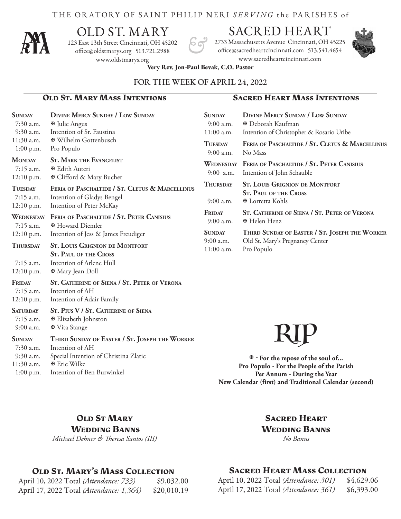#### THE ORATORY OF SAINT PHILIP NERI *SERVING* the PA R ISHES of



# OLD ST. MARY

123 East 13th Street Cincinnati, OH 45202 office@oldstmarys.org 513.721.2988 www.oldstmarys.org

## SACRED HEART

2733 Massachusetts Avenue Cincinnati, OH 45225 office@sacredheartcincinnati.com 513.541.4654 www.sacredheartcincinnati.com



**Very Rev. Jon-Paul Bevak, C.O. Pastor** 

#### FOR THE WEEK OF APRIL 24, 2022

#### **Old St. Mary Mass Intentions Sacred Heart Mass Intentions**

| <b>SUNDAY</b><br>7:30 a.m.<br>$9:30$ a.m.      | <b>DIVINE MERCY SUNDAY / LOW SUNDAY</b><br><b><math>⊌</math></b> Julie Angus<br>Intention of Sr. Faustina                                    | <b>SUNDAY</b><br>9:00 a.m.<br>$11:00$ a.m. | <b>DIVINE MERCY SUNDAY / LOW SUNDAY</b><br><b><i>E</i></b> Deborah Kaufman<br>Intention of Christopher & Rosario Uribe |  |
|------------------------------------------------|----------------------------------------------------------------------------------------------------------------------------------------------|--------------------------------------------|------------------------------------------------------------------------------------------------------------------------|--|
| 11:30 a.m.<br>$1:00$ p.m.                      | <b><math>\Phi</math> Wilhelm Gottenbusch</b><br>Pro Populo                                                                                   | <b>TUESDAY</b><br>9:00 a.m.                | FERIA OF PASCHALTIDE / ST. CLETUS & MARCELLINUS<br>No Mass                                                             |  |
| <b>MONDAY</b><br>$7:15$ a.m.<br>$12:10$ p.m.   | <b>ST. MARK THE EVANGELIST</b><br><b><math>\Phi</math></b> Edith Auteri<br><b><math>\Phi</math></b> Clifford & Mary Bucher                   | $9:00$ a.m.                                | WEDNESDAY FERIA OF PASCHALTIDE / ST. PETER CANISIUS<br>Intention of John Schauble                                      |  |
| <b>TUESDAY</b><br>7:15 a.m.<br>12:10 p.m.      | FERIA OF PASCHALTIDE / ST. CLETUS & MARCELLINUS<br>Intention of Gladys Bengel<br>Intention of Peter McKay                                    | <b>THURSDAY</b><br>9:00 a.m.               | <b>ST. LOUIS GRIGNION DE MONTFORT</b><br><b>ST. PAUL OF THE CROSS</b><br><b><math>\Phi</math></b> Lorretta Kohls       |  |
| WEDNESDAY<br>$7:15$ a.m.                       | FERIA OF PASCHALTIDE / ST. PETER CANISIUS<br><b><math>⊉</math> Howard Diemler</b>                                                            | FRIDAY<br>$9:00$ a.m.                      | ST. CATHERINE OF SIENA / ST. PETER OF VERONA<br><b><math>\Phi</math> Helen Henz</b>                                    |  |
| $12:10$ p.m.                                   | Intention of Jess & James Freudiger                                                                                                          | <b>SUNDAY</b><br>$9:00$ a.m.               | THIRD SUNDAY OF EASTER / ST. JOSEPH THE WORKER                                                                         |  |
| <b>THURSDAY</b><br>$7:15$ a.m.<br>$12:10$ p.m. | <b>ST. LOUIS GRIGNION DE MONTFORT</b><br><b>ST. PAUL OF THE CROSS</b><br>Intention of Arlene Hull<br><b><math>\Phi</math></b> Mary Jean Doll |                                            | Old St. Mary's Pregnancy Center<br>Pro Populo                                                                          |  |
| FRIDAY<br>$7:15$ a.m.<br>$12:10$ p.m.          | ST. CATHERINE OF SIENA / ST. PETER OF VERONA<br>Intention of AH<br>Intention of Adair Family                                                 |                                            |                                                                                                                        |  |
| <b>SATURDAY</b><br>$7:15$ a.m.<br>$9:00$ a.m.  | ST. PIUS V / ST. CATHERINE OF SIENA<br><b><math>\Phi</math></b> Elizabeth Johnston<br><b><math>\Phi</math></b> Vita Stange                   |                                            |                                                                                                                        |  |

#### **Sunday Third Sunday of Easter / St. Joseph the Worker** 7:30 a.m. Intention of AH 9:30 a.m. Special Intention of Christina Zlatic 11:30 a.m. **E** Eric Wilke 1:00 p.m. Intention of Ben Burwinkel

# RIP

 **- For the repose of the soul of... Pro Populo - For the People of the Parish Per Annum - During the Year New Calendar (first) and Traditional Calendar (second)**

#### **Old St Mary Wedding Banns**

*Michael Dehner & Theresa Santos (III)*

#### **Old St. Mary's Mass Collection**

| April 10, 2022 Total (Attendance: 733)   | \$9,032.00  |
|------------------------------------------|-------------|
| April 17, 2022 Total (Attendance: 1,364) | \$20,010.19 |

#### **Sacred Heart Wedding Banns** *No Banns*

#### **Sacred Heart Mass Collection**

| April 10, 2022 Total (Attendance: 301) | \$4,629.06 |
|----------------------------------------|------------|
| April 17, 2022 Total (Attendance: 361) | \$6,393.00 |